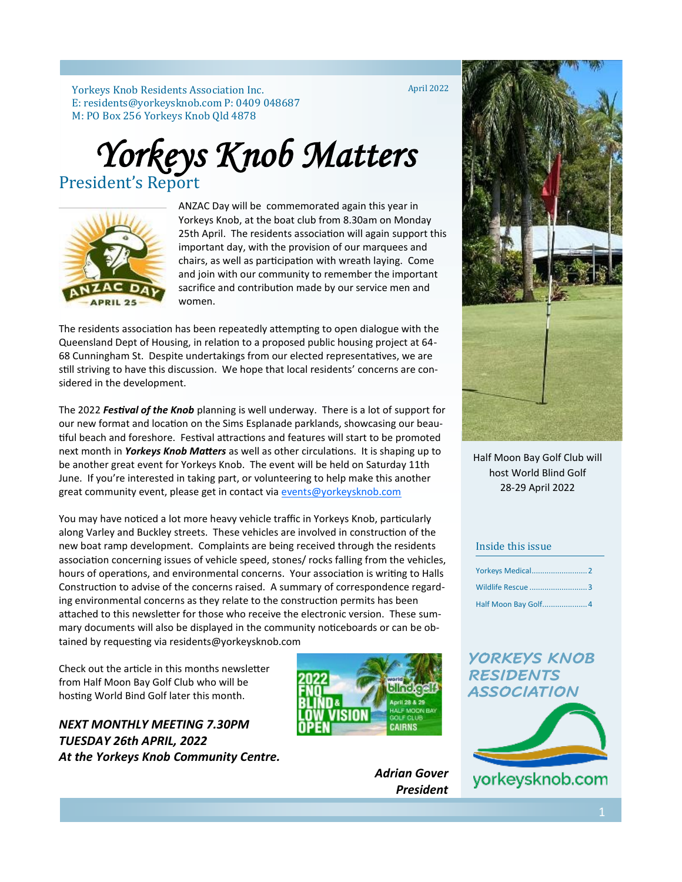Yorkeys Knob Residents Association Inc. E: residents@yorkeysknob.com P: 0409 048687 M: PO Box 256 Yorkeys Knob Qld 4878

April 2022

# *Yorkeys Knob Matters*  President's Report



ANZAC Day will be commemorated again this year in Yorkeys Knob, at the boat club from 8.30am on Monday 25th April. The residents association will again support this important day, with the provision of our marquees and chairs, as well as participation with wreath laying. Come and join with our community to remember the important sacrifice and contribution made by our service men and women.

The residents association has been repeatedly attempting to open dialogue with the Queensland Dept of Housing, in relation to a proposed public housing project at 64- 68 Cunningham St. Despite undertakings from our elected representatives, we are still striving to have this discussion. We hope that local residents' concerns are considered in the development.

The 2022 *Festival of the Knob* planning is well underway. There is a lot of support for our new format and location on the Sims Esplanade parklands, showcasing our beautiful beach and foreshore. Festival attractions and features will start to be promoted next month in *Yorkeys Knob Matters* as well as other circulations. It is shaping up to be another great event for Yorkeys Knob. The event will be held on Saturday 11th June. If you're interested in taking part, or volunteering to help make this another great community event, please get in contact via [events@yorkeysknob.com](mailto:events@yorkeysknob.com)

You may have noticed a lot more heavy vehicle traffic in Yorkeys Knob, particularly along Varley and Buckley streets. These vehicles are involved in construction of the new boat ramp development. Complaints are being received through the residents association concerning issues of vehicle speed, stones/ rocks falling from the vehicles, hours of operations, and environmental concerns. Your association is writing to Halls Construction to advise of the concerns raised. A summary of correspondence regarding environmental concerns as they relate to the construction permits has been attached to this newsletter for those who receive the electronic version. These summary documents will also be displayed in the community noticeboards or can be obtained by requesting via residents@yorkeysknob.com

Check out the article in this months newsletter from Half Moon Bay Golf Club who will be hosting World Bind Golf later this month.

*NEXT MONTHLY MEETING 7.30PM TUESDAY 26th APRIL, 2022 At the Yorkeys Knob Community Centre.*



*Adrian Gover President*



Half Moon Bay Golf Club will host World Blind Golf 28-29 April 2022

#### Inside this issue

| <b>Yorkeys Medical 2</b> |  |
|--------------------------|--|
| Wildlife Rescue 3        |  |
|                          |  |

### *YORKEYS KNOB RESIDENTS ASSOCIATION*



yorkeysknob.com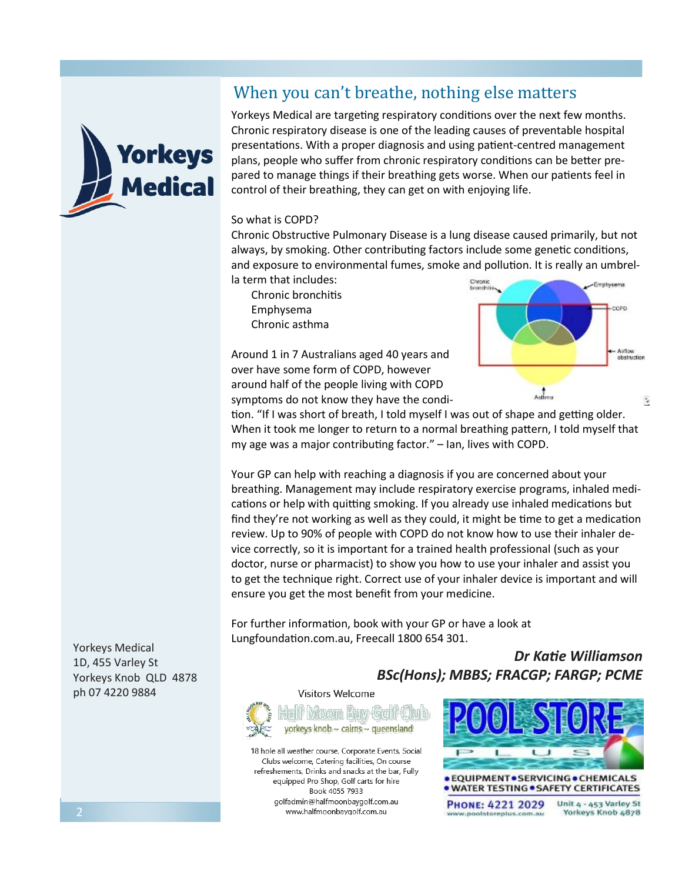# When you can't breathe, nothing else matters



Yorkeys Medical are targeting respiratory conditions over the next few months. Chronic respiratory disease is one of the leading causes of preventable hospital presentations. With a proper diagnosis and using patient-centred management plans, people who suffer from chronic respiratory conditions can be better prepared to manage things if their breathing gets worse. When our patients feel in control of their breathing, they can get on with enjoying life.

#### So what is COPD?

Chronic Obstructive Pulmonary Disease is a lung disease caused primarily, but not always, by smoking. Other contributing factors include some genetic conditions, and exposure to environmental fumes, smoke and pollution. It is really an umbrella term that includes:

Chronic bronchitis Emphysema Chronic asthma

Around 1 in 7 Australians aged 40 years and over have some form of COPD, however around half of the people living with COPD symptoms do not know they have the condi-



tion. "If I was short of breath, I told myself I was out of shape and getting older. When it took me longer to return to a normal breathing pattern, I told myself that my age was a major contributing factor." – Ian, lives with COPD.

Your GP can help with reaching a diagnosis if you are concerned about your breathing. Management may include respiratory exercise programs, inhaled medications or help with quitting smoking. If you already use inhaled medications but find they're not working as well as they could, it might be time to get a medication review. Up to 90% of people with COPD do not know how to use their inhaler device correctly, so it is important for a trained health professional (such as your doctor, nurse or pharmacist) to show you how to use your inhaler and assist you to get the technique right. Correct use of your inhaler device is important and will ensure you get the most benefit from your medicine.

For further information, book with your GP or have a look at Lungfoundation.com.au, Freecall 1800 654 301.

Yorkeys Medical 1D, 455 Varley St Yorkeys Knob QLD 4878 ph 07 4220 9884

*Dr Katie Williamson BSc(Hons); MBBS; FRACGP; FARGP; PCME*

Visitors Welcome



18 hole all weather course, Corporate Events, Social Clubs welcome, Catering facilities, On course refreshements. Drinks and snacks at the bar. Fully equipped Pro Shop, Golf carts for hire Book 4055 7933 golfadmin@halfmoonbaygolf.com.au www.halfmoonbaygolf.com.au

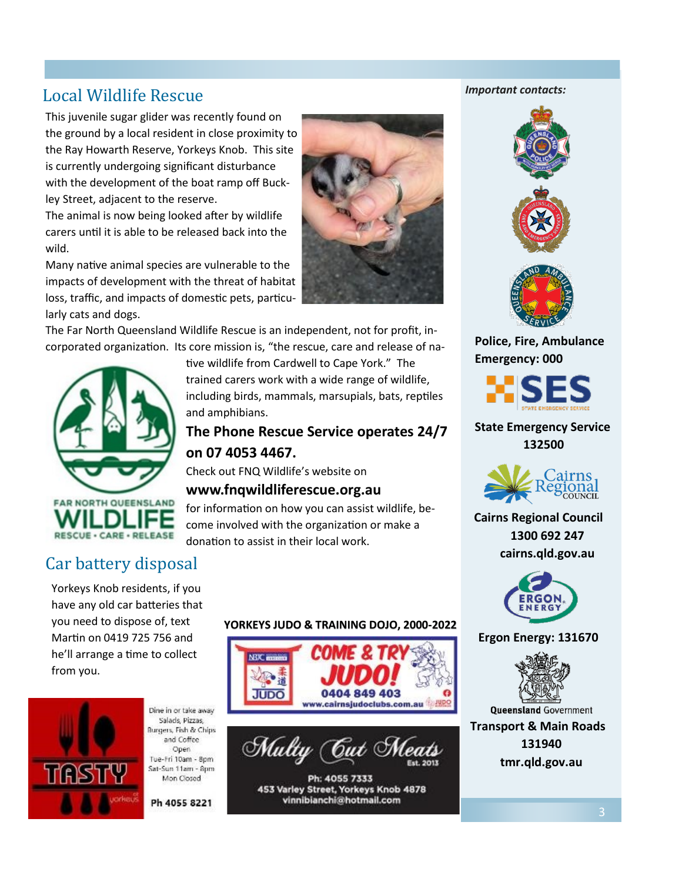# Local Wildlife Rescue

This juvenile sugar glider was recently found on the ground by a local resident in close proximity to the Ray Howarth Reserve, Yorkeys Knob. This site is currently undergoing significant disturbance with the development of the boat ramp off Buckley Street, adjacent to the reserve.

The animal is now being looked after by wildlife carers until it is able to be released back into the wild.

Many native animal species are vulnerable to the impacts of development with the threat of habitat loss, traffic, and impacts of domestic pets, particularly cats and dogs.

The Far North Queensland Wildlife Rescue is an independent, not for profit, incorporated organization. Its core mission is, "the rescue, care and release of na-



tive wildlife from Cardwell to Cape York." The trained carers work with a wide range of wildlife, including birds, mammals, marsupials, bats, reptiles and amphibians.

## **The Phone Rescue Service operates 24/7 on 07 4053 4467.**

Check out FNQ Wildlife's website on

### **www.fnqwildliferescue.org.au**

for information on how you can assist wildlife, become involved with the organization or make a donation to assist in their local work.

# Car battery disposal

Yorkeys Knob residents, if you have any old car batteries that you need to dispose of, text Martin on 0419 725 756 and he'll arrange a time to collect from you.



Dine in or take away Salads, Pizzas, Burgers, Fish & Chips and Coffee Open Tue-Fri 10am - 8pm Sat-Sun 11am - 8pm Mon Closed

Ph 4055 8221

### **YORKEYS JUDO & TRAINING DOJO, 2000-2022**



vinnibianchi@hotmail.com

#### *Important contacts:*





**Police, Fire, Ambulance Emergency: 000**



### **State Emergency Service 132500**



**Cairns Regional Council 1300 692 247 cairns.qld.gov.au**



#### **Ergon Energy: 131670**



**Transport & Main Roads**

**131940 tmr.qld.gov.au**